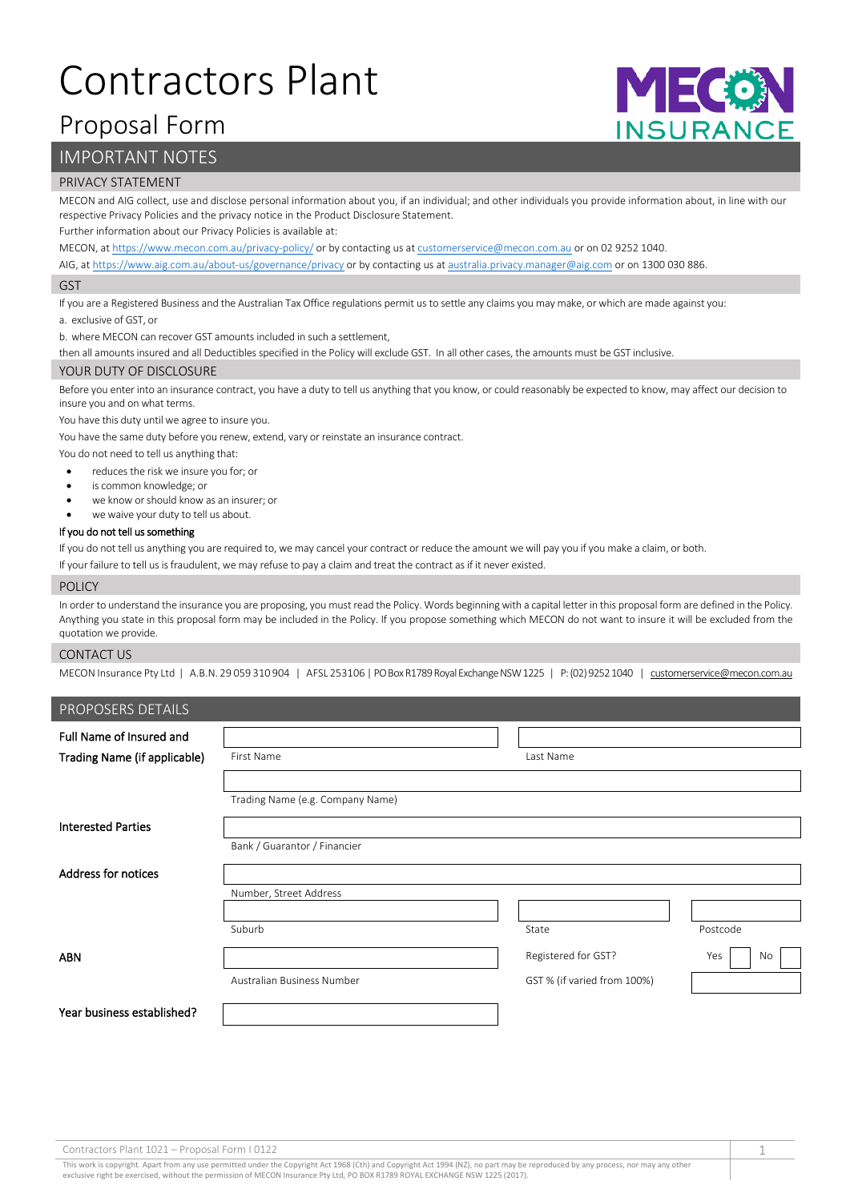# Contractors Plant

## Proposal Form

## IMPORTANT NOTES

#### PRIVACY STATEMENT

MECON and AIG collect, use and disclose personal information about you, if an individual; and other individuals you provide information about, in line with our respective Privacy Policies and the privacy notice in the Product Disclosure Statement.

Further information about our Privacy Policies is available at:

MECON, a[t https://www.mecon.com.au/privacy-policy/](https://www.mecon.com.au/privacy-policy/) or by contacting us a[t customerservice@mecon.com.au](mailto:customerservice@mecon.com.au) or on 02 9252 1040.

AIG, a[t https://www.aig.com.au/about-us/governance/privacy](https://www.aig.com.au/about-us/governance/privacy) or by contacting us a[t australia.privacy.manager@aig.com](mailto:australia.privacy.manager@aig.com) or on 1300 030 886.

#### GST

If you are a Registered Business and the Australian Tax Office regulations permit us to settle any claims you may make, or which are made against you:

a. exclusive of GST, or

b. where MECON can recover GST amounts included in such a settlement,

then all amounts insured and all Deductibles specified in the Policy will exclude GST. In all other cases, the amounts must be GST inclusive.

#### YOUR DUTY OF DISCLOSURE

Before you enter into an insurance contract, you have a duty to tell us anything that you know, or could reasonably be expected to know, may affect our decision to insure you and on what terms.

You have this duty until we agree to insure you.

You have the same duty before you renew, extend, vary or reinstate an insurance contract.

You do not need to tell us anything that:

• reduces the risk we insure you for; or

- is common knowledge; or
- we know or should know as an insurer; or
- we waive your duty to tell us about.

#### If you do not tell us something

If you do not tell us anything you are required to, we may cancel your contract or reduce the amount we will pay you if you make a claim, or both.

If your failure to tell us is fraudulent, we may refuse to pay a claim and treat the contract as if it never existed.

#### POLICY

In order to understand the insurance you are proposing, you must read the Policy. Words beginning with a capital letter in this proposal form are defined in the Policy. Anything you state in this proposal form may be included in the Policy. If you propose something which MECON do not want to insure it will be excluded from the quotation we provide.

#### CONTACT US

MECON Insurance Pty Ltd | A.B.N. 29 059 310 904 | AFSL 253106 | PO Box R1789 Royal Exchange NSW 1225 | P: (02) 9252 1040 | [customerservice@mecon.com.au](mailto:customerservice@mecon.com.au)

| PROPOSERS DETAILS                   |                                  |                             |           |
|-------------------------------------|----------------------------------|-----------------------------|-----------|
| Full Name of Insured and            |                                  |                             |           |
| <b>Trading Name (if applicable)</b> | First Name                       | Last Name                   |           |
|                                     |                                  |                             |           |
|                                     | Trading Name (e.g. Company Name) |                             |           |
| <b>Interested Parties</b>           |                                  |                             |           |
|                                     | Bank / Guarantor / Financier     |                             |           |
| <b>Address for notices</b>          |                                  |                             |           |
|                                     | Number, Street Address           |                             |           |
|                                     |                                  |                             |           |
|                                     | Suburb                           | State                       | Postcode  |
| <b>ABN</b>                          |                                  | Registered for GST?         | Yes<br>No |
|                                     | Australian Business Number       | GST % (if varied from 100%) |           |
| Year business established?          |                                  |                             |           |

This work is copyright. Apart from any use permitted under the Copyright Act 1968 (Cth) and Copyright Act 1994 (NZ), no part may be reproduced by any process, nor may any other exclusive right be exercised, without the permission of MECON Insurance Pty Ltd, PO BOX R1789 ROYAL EXCHANGE NSW 1225 (2017).

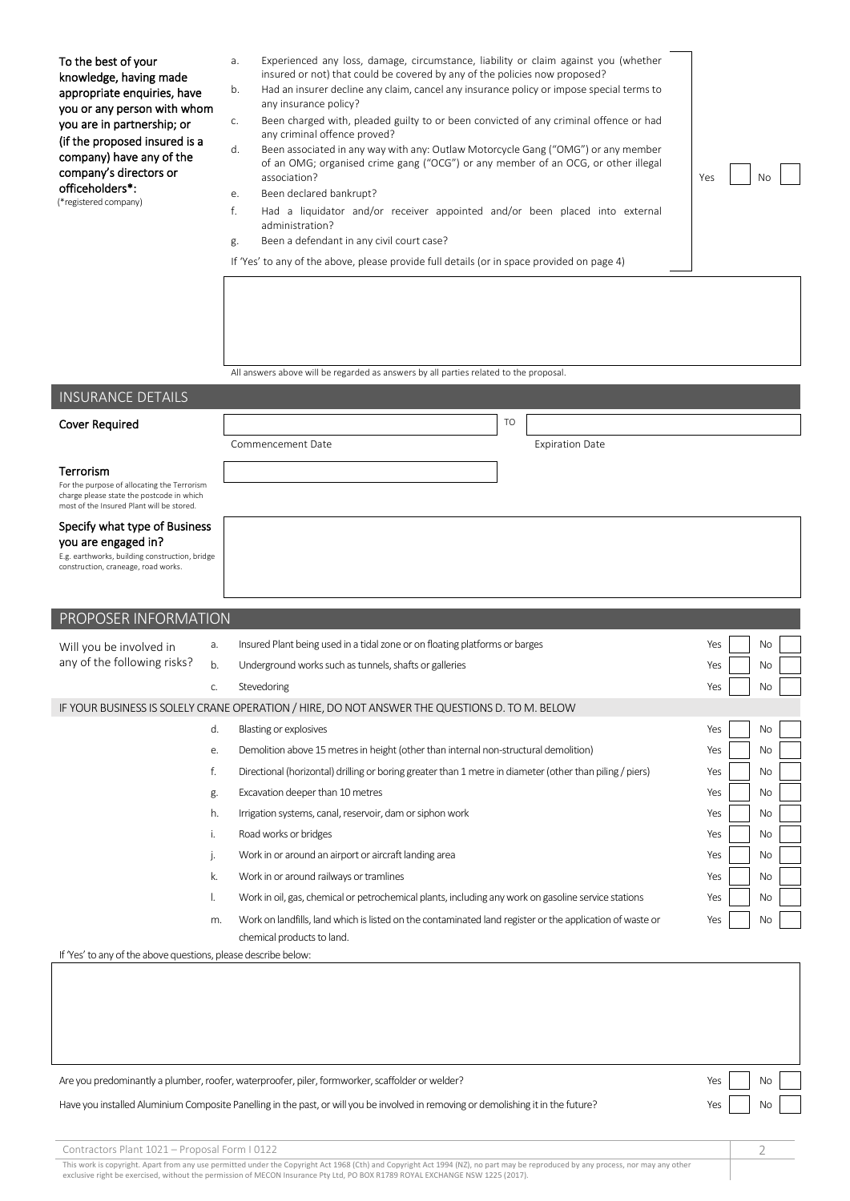| To the best of your<br>knowledge, having made<br>appropriate enquiries, have<br>you or any person with whom<br>you are in partnership; or<br>(if the proposed insured is a<br>company) have any of the<br>company's directors or<br>officeholders*:<br>(*registered company)                        | Experienced any loss, damage, circumstance, liability or claim against you (whether<br>a.<br>insured or not) that could be covered by any of the policies now proposed?<br>Had an insurer decline any claim, cancel any insurance policy or impose special terms to<br>b.<br>any insurance policy?<br>Been charged with, pleaded guilty to or been convicted of any criminal offence or had<br>C.<br>any criminal offence proved?<br>d.<br>Been associated in any way with any: Outlaw Motorcycle Gang ("OMG") or any member<br>of an OMG; organised crime gang ("OCG") or any member of an OCG, or other illegal<br>association?<br>Been declared bankrupt?<br>е.<br>f.<br>Had a liquidator and/or receiver appointed and/or been placed into external<br>administration?<br>Been a defendant in any civil court case?<br>g.<br>If 'Yes' to any of the above, please provide full details (or in space provided on page 4) | Yes<br>No                                                                                                                      |  |  |  |
|-----------------------------------------------------------------------------------------------------------------------------------------------------------------------------------------------------------------------------------------------------------------------------------------------------|-----------------------------------------------------------------------------------------------------------------------------------------------------------------------------------------------------------------------------------------------------------------------------------------------------------------------------------------------------------------------------------------------------------------------------------------------------------------------------------------------------------------------------------------------------------------------------------------------------------------------------------------------------------------------------------------------------------------------------------------------------------------------------------------------------------------------------------------------------------------------------------------------------------------------------|--------------------------------------------------------------------------------------------------------------------------------|--|--|--|
| <b>INSURANCE DETAILS</b>                                                                                                                                                                                                                                                                            | All answers above will be regarded as answers by all parties related to the proposal.                                                                                                                                                                                                                                                                                                                                                                                                                                                                                                                                                                                                                                                                                                                                                                                                                                       |                                                                                                                                |  |  |  |
|                                                                                                                                                                                                                                                                                                     | <b>TO</b>                                                                                                                                                                                                                                                                                                                                                                                                                                                                                                                                                                                                                                                                                                                                                                                                                                                                                                                   |                                                                                                                                |  |  |  |
| <b>Cover Required</b>                                                                                                                                                                                                                                                                               | Commencement Date<br><b>Expiration Date</b>                                                                                                                                                                                                                                                                                                                                                                                                                                                                                                                                                                                                                                                                                                                                                                                                                                                                                 |                                                                                                                                |  |  |  |
| Terrorism<br>For the purpose of allocating the Terrorism<br>charge please state the postcode in which<br>most of the Insured Plant will be stored.<br>Specify what type of Business<br>you are engaged in?<br>E.g. earthworks, building construction, bridge<br>construction, craneage, road works. |                                                                                                                                                                                                                                                                                                                                                                                                                                                                                                                                                                                                                                                                                                                                                                                                                                                                                                                             |                                                                                                                                |  |  |  |
| PROPOSER INFORMATION                                                                                                                                                                                                                                                                                |                                                                                                                                                                                                                                                                                                                                                                                                                                                                                                                                                                                                                                                                                                                                                                                                                                                                                                                             |                                                                                                                                |  |  |  |
| a.<br>Will you be involved in<br>any of the following risks?<br>b.<br>C.                                                                                                                                                                                                                            | Insured Plant being used in a tidal zone or on floating platforms or barges<br>Underground works such as tunnels, shafts or galleries<br>Stevedoring                                                                                                                                                                                                                                                                                                                                                                                                                                                                                                                                                                                                                                                                                                                                                                        | <b>No</b><br>Yes<br>No<br>Yes<br>Yes<br>No                                                                                     |  |  |  |
|                                                                                                                                                                                                                                                                                                     | IF YOUR BUSINESS IS SOLELY CRANE OPERATION / HIRE, DO NOT ANSWER THE QUESTIONS D. TO M. BELOW                                                                                                                                                                                                                                                                                                                                                                                                                                                                                                                                                                                                                                                                                                                                                                                                                               |                                                                                                                                |  |  |  |
| d.<br>е.<br>f.<br>g.<br>h.<br>i.<br>j.<br>k.<br>I.<br>m.<br>If 'Yes' to any of the above questions, please describe below:                                                                                                                                                                          | Blasting or explosives<br>Demolition above 15 metres in height (other than internal non-structural demolition)<br>Directional (horizontal) drilling or boring greater than 1 metre in diameter (other than piling / piers)<br>Excavation deeper than 10 metres<br>Irrigation systems, canal, reservoir, dam or siphon work<br>Road works or bridges<br>Work in or around an airport or aircraft landing area<br>Work in or around railways or tramlines<br>Work in oil, gas, chemical or petrochemical plants, including any work on gasoline service stations<br>Work on landfills, land which is listed on the contaminated land register or the application of waste or<br>chemical products to land.                                                                                                                                                                                                                    | Yes<br>No<br>Yes<br>No<br>No<br>Yes<br>Yes<br>No<br>No<br>Yes<br>Yes<br>No<br>No<br>Yes<br>Yes<br>No<br>Yes<br>No<br>Yes<br>No |  |  |  |
|                                                                                                                                                                                                                                                                                                     |                                                                                                                                                                                                                                                                                                                                                                                                                                                                                                                                                                                                                                                                                                                                                                                                                                                                                                                             |                                                                                                                                |  |  |  |

Are you predominantly a plumber, roofer, waterproofer, piler, formworker, scaffolder or welder? No welder? No welcome that we have not a state of the No welcome or welcome or welcome or welcome or welcome or welcome or wel

#### Have you installed Aluminium Composite Panelling in the past, or will you be involved in removing or demolishing it in the future? Yes Yes Yes No

| Contractors Plant 1021 - Proposal Form   0122                                                                                                                                                                                     |  |
|-----------------------------------------------------------------------------------------------------------------------------------------------------------------------------------------------------------------------------------|--|
| $\frac{1}{2}$ . The contract of the contract of the contract of the contract of the contract of the contract of the contract of the contract of the contract of the contract of the contract of the contract of the contract of t |  |

This work is copyright. Apart from any use permitted under the Copyright Act 1968 (Cth) and Copyright Act 1994 (NZ), no part may be reproduced by any process, nor may any other<br>exclusive right be exercised, without the per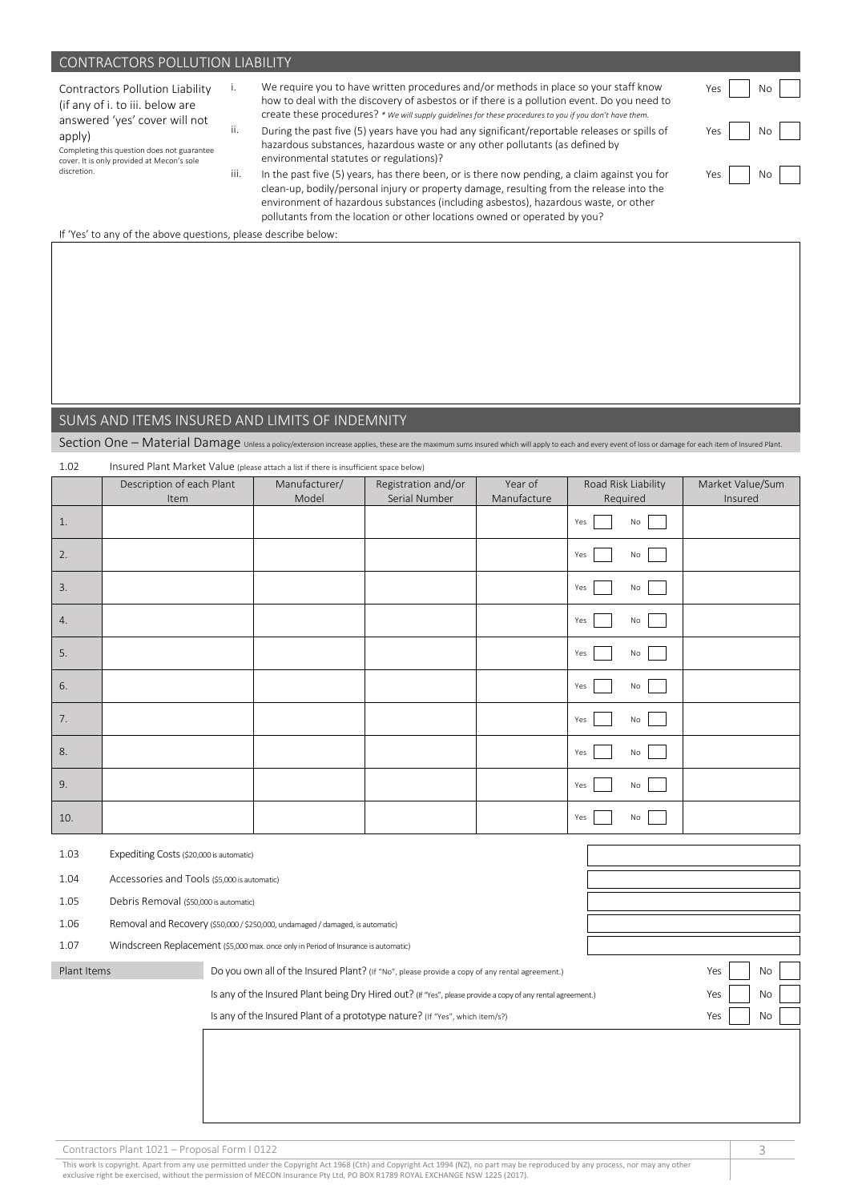#### CONTRACTORS POLLUTION LIABILITY

| <b>Contractors Pollution Liability</b> |  |  |
|----------------------------------------|--|--|
| (if any of i. to iii. below are        |  |  |
| answered 'yes' cover will not          |  |  |
| apply)                                 |  |  |

Completing this question does not guarantee cover. It is only provided at Mecon's sole discretion.

i. We require you to have written procedures and/or methods in place so your staff know how to deal with the discovery of asbestos or if there is a pollution event. Do you need to create these procedures? *\* We will supply guidelines for these procedures to you if you don't have them.*

ii. During the past five (5) years have you had any significant/reportable releases or spills of hazardous substances, hazardous waste or any other pollutants (as defined by environmental statutes or regulations)?

iii. In the past five (5) years, has there been, or is there now pending, a claim against you for clean-up, bodily/personal injury or property damage, resulting from the release into the environment of hazardous substances (including asbestos), hazardous waste, or other pollutants from the location or other locations owned or operated by you?

| Yes | No |  |
|-----|----|--|
| Yes | No |  |
| Yes | No |  |

If 'Yes' to any of the above questions, please describe below:

#### SUMS AND ITEMS INSURED AND LIMITS OF INDEMNITY

1.02 Insured Plant Market Value (please attach a list if there is insufficient space below)

Section One – Material Damage Unless a policy/extension increase applies, these are the maximum sums insured which will apply to each and every event of loss or damage for each item of Insured Plant.

|                                                  | Description of each Plant<br>Item                                                         | Manufacturer/<br>Model                                                                                      | Registration and/or<br>Serial Number | Year of<br>Manufacture | Road Risk Liability<br>Required | Market Value/Sum<br>Insured |
|--------------------------------------------------|-------------------------------------------------------------------------------------------|-------------------------------------------------------------------------------------------------------------|--------------------------------------|------------------------|---------------------------------|-----------------------------|
|                                                  |                                                                                           |                                                                                                             |                                      |                        |                                 |                             |
| 1.                                               |                                                                                           |                                                                                                             |                                      |                        | Yes<br>No                       |                             |
| 2.                                               |                                                                                           |                                                                                                             |                                      |                        | Yes<br>No                       |                             |
| 3.                                               |                                                                                           |                                                                                                             |                                      |                        | Yes<br>No                       |                             |
| 4.                                               |                                                                                           |                                                                                                             |                                      |                        | Yes<br>No                       |                             |
| 5.                                               |                                                                                           |                                                                                                             |                                      |                        | Yes<br>No                       |                             |
| 6.                                               |                                                                                           |                                                                                                             |                                      |                        | Yes<br>No                       |                             |
| 7.                                               |                                                                                           |                                                                                                             |                                      |                        | Yes<br>No                       |                             |
| 8.                                               |                                                                                           |                                                                                                             |                                      |                        | Yes<br>No                       |                             |
| 9.                                               |                                                                                           |                                                                                                             |                                      |                        | Yes<br>No                       |                             |
| 10.                                              |                                                                                           |                                                                                                             |                                      |                        | Yes<br>No                       |                             |
| 1.03<br>Expediting Costs (\$20,000 is automatic) |                                                                                           |                                                                                                             |                                      |                        |                                 |                             |
| 1.04                                             | Accessories and Tools (\$5,000 is automatic)                                              |                                                                                                             |                                      |                        |                                 |                             |
| 1.05                                             | Debris Removal (\$50,000 is automatic)                                                    |                                                                                                             |                                      |                        |                                 |                             |
| 1.06                                             | Removal and Recovery (\$50,000 / \$250,000, undamaged / damaged, is automatic)            |                                                                                                             |                                      |                        |                                 |                             |
| 1.07                                             | Windscreen Replacement (\$5,000 max. once only in Period of Insurance is automatic)       |                                                                                                             |                                      |                        |                                 |                             |
| Plant Items                                      |                                                                                           | Do you own all of the Insured Plant? (If "No", please provide a copy of any rental agreement.)              |                                      |                        |                                 | No<br>Yes                   |
|                                                  |                                                                                           | Is any of the Insured Plant being Dry Hired out? (If "Yes", please provide a copy of any rental agreement.) |                                      |                        |                                 | Yes<br>No                   |
|                                                  | Is any of the Insured Plant of a prototype nature? (If "Yes", which item/s?)<br>Yes<br>No |                                                                                                             |                                      |                        |                                 |                             |

Contractors Plant 1021 – Proposal Form I 0122 3

This work is copyright. Apart from any use permitted under the Copyright Act 1968 (Cth) and Copyright Act 1994 (NZ), no part may be reproduced by any process, nor may any other<br>exclusive right be exercised, without the per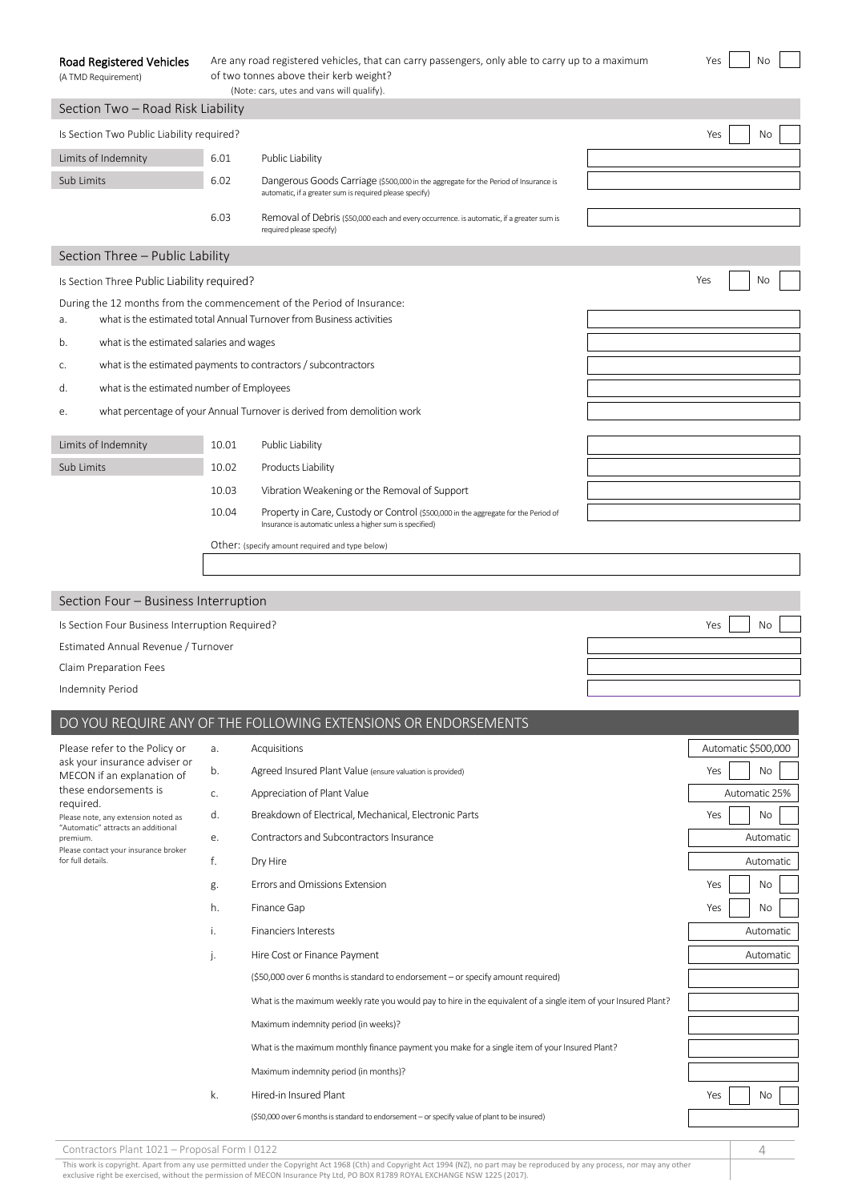| <b>Road Registered Vehicles</b> | Are any road registered vehicles, that can carry passengers, only able to carry up to a maximum |
|---------------------------------|-------------------------------------------------------------------------------------------------|
| (A TMD Requirement)             | of two tonnes above their kerb weight?                                                          |

| чc | r 1<br>э |  |
|----|----------|--|
|    |          |  |

| (Note: cars, utes and vans will qualify).                   |       |                                                                                                                                                |                     |  |  |
|-------------------------------------------------------------|-------|------------------------------------------------------------------------------------------------------------------------------------------------|---------------------|--|--|
| Section Two - Road Risk Liability                           |       |                                                                                                                                                |                     |  |  |
| Is Section Two Public Liability required?                   |       |                                                                                                                                                |                     |  |  |
| Limits of Indemnity                                         | 6.01  | Public Liability                                                                                                                               |                     |  |  |
| Sub Limits                                                  | 6.02  | Dangerous Goods Carriage (\$500,000 in the aggregate for the Period of Insurance is<br>automatic, if a greater sum is required please specify) |                     |  |  |
|                                                             | 6.03  | Removal of Debris (\$50,000 each and every occurrence. is automatic, if a greater sum is<br>required please specify)                           |                     |  |  |
| Section Three - Public Lability                             |       |                                                                                                                                                |                     |  |  |
| Is Section Three Public Liability required?                 |       |                                                                                                                                                | Yes<br>No           |  |  |
| a.                                                          |       | During the 12 months from the commencement of the Period of Insurance:<br>what is the estimated total Annual Turnover from Business activities |                     |  |  |
| what is the estimated salaries and wages<br>b.              |       |                                                                                                                                                |                     |  |  |
| С.                                                          |       | what is the estimated payments to contractors / subcontractors                                                                                 |                     |  |  |
| what is the estimated number of Employees<br>d.             |       |                                                                                                                                                |                     |  |  |
| е.                                                          |       | what percentage of your Annual Turnover is derived from demolition work                                                                        |                     |  |  |
| Limits of Indemnity                                         | 10.01 | Public Liability                                                                                                                               |                     |  |  |
| Sub Limits                                                  | 10.02 | Products Liability                                                                                                                             |                     |  |  |
|                                                             | 10.03 | Vibration Weakening or the Removal of Support                                                                                                  |                     |  |  |
|                                                             | 10.04 | Property in Care, Custody or Control (\$500,000 in the aggregate for the Period of                                                             |                     |  |  |
|                                                             |       | Insurance is automatic unless a higher sum is specified)                                                                                       |                     |  |  |
|                                                             |       | Other: (specify amount required and type below)                                                                                                |                     |  |  |
|                                                             |       |                                                                                                                                                |                     |  |  |
| Section Four - Business Interruption                        |       |                                                                                                                                                |                     |  |  |
| Is Section Four Business Interruption Required?             |       |                                                                                                                                                | No<br>Yes           |  |  |
| Estimated Annual Revenue / Turnover                         |       |                                                                                                                                                |                     |  |  |
| Claim Preparation Fees                                      |       |                                                                                                                                                |                     |  |  |
| Indemnity Period                                            |       |                                                                                                                                                |                     |  |  |
|                                                             |       | DO YOU REQUIRE ANY OF THE FOLLOWING EXTENSIONS OR ENDORSEMENTS                                                                                 |                     |  |  |
| Please refer to the Policy or                               | a.    | Acquisitions                                                                                                                                   | Automatic \$500,000 |  |  |
| ask your insurance adviser or<br>MECON if an explanation of | b.    | Agreed Insured Plant Value (ensure valuation is provided)                                                                                      | Yes<br>No           |  |  |
| these endorsements is<br>required.                          | c.    | Appreciation of Plant Value                                                                                                                    | Automatic 25%       |  |  |
| Please note, any extension noted as                         | d.    | Breakdown of Electrical, Mechanical, Electronic Parts                                                                                          | Yes<br>No           |  |  |
| "Automatic" attracts an additional<br>premium.              | е.    | Contractors and Subcontractors Insurance                                                                                                       | Automatic           |  |  |
| Please contact your insurance broker<br>for full details.   | f.    | Dry Hire                                                                                                                                       | Automatic           |  |  |
|                                                             | g.    | Errors and Omissions Extension                                                                                                                 | Yes<br>No           |  |  |
|                                                             | h.    | Finance Gap                                                                                                                                    | Yes<br>No           |  |  |
|                                                             | i.    | <b>Financiers Interests</b>                                                                                                                    | Automatic           |  |  |
|                                                             | j.    | Hire Cost or Finance Payment                                                                                                                   | Automatic           |  |  |
|                                                             |       | (\$50,000 over 6 months is standard to endorsement - or specify amount required)                                                               |                     |  |  |
|                                                             |       | What is the maximum weekly rate you would pay to hire in the equivalent of a single item of your Insured Plant?                                |                     |  |  |
|                                                             |       | Maximum indemnity period (in weeks)?                                                                                                           |                     |  |  |
|                                                             |       | What is the maximum monthly finance payment you make for a single item of your Insured Plant?                                                  |                     |  |  |
|                                                             |       | Maximum indemnity period (in months)?                                                                                                          |                     |  |  |
|                                                             | k.    | Hired-in Insured Plant                                                                                                                         | Yes<br>No           |  |  |
|                                                             |       | (\$50,000 over 6 months is standard to endorsement - or specify value of plant to be insured)                                                  |                     |  |  |
|                                                             |       |                                                                                                                                                |                     |  |  |

Contractors Plant 1021 – Proposal Form I 0122 4 This work is copyright. Apart from any use permitted under the Copyright Act 1968 (Cth) and Copyright Act 1994 (NZ), no part may be reproduced by any process, nor may any other<br>exclusive right be exercised, without the per